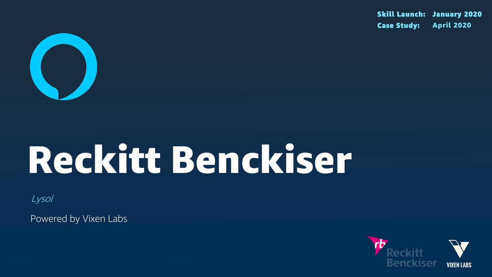

# Reckitt Benckiser

Lysol

Powered by Vixen Labs

### Skill Launch: January 2020 Case Study: April 2020



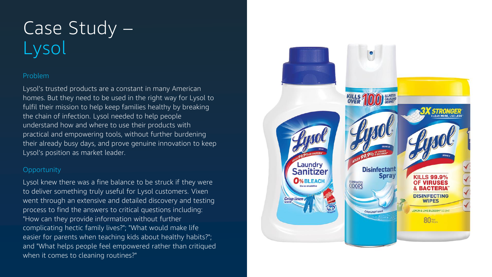#### Problem

Lysol's trusted products are a constant in many American homes. But they need to be used in the right way for Lysol to fulfil their mission to help keep families healthy by breaking the chain of infection. Lysol needed to help people understand how and where to use their products with practical and empowering tools, without further burdening their already busy days, and prove genuine innovation to keep Lysol's position as market leader.

#### **Opportunity**

# Case Study – Lysol

Lysol knew there was a fine balance to be struck if they were to deliver something truly useful for Lysol customers. Vixen went through an extensive and detailed discovery and testing process to find the answers to critical questions including: "How can they provide information without further complicating hectic family lives?"; "What would make life easier for parents when teaching kids about healthy habits?"; and "What helps people feel empowered rather than critiqued when it comes to cleaning routines?"

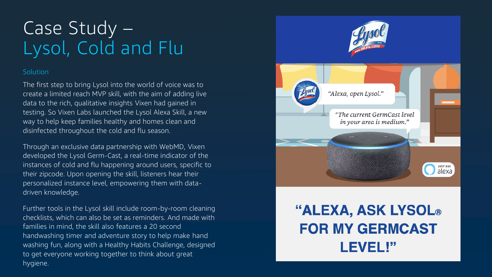#### Solution

# Case Study – Lysol, Cold and Flu



**LEVEL!"** 

The first step to bring Lysol into the world of voice was to create a limited reach MVP skill, with the aim of adding live data to the rich, qualitative insights Vixen had gained in testing. So Vixen Labs launched the Lysol Alexa Skill, a new way to help keep families healthy and homes clean and disinfected throughout the cold and flu season.

Through an exclusive data partnership with WebMD, Vixen developed the Lysol Germ -Cast, a real -time indicator of the instances of cold and flu happening around users, specific to their zipcode. Upon opening the skill, listeners hear their personalized instance level, empowering them with data driven knowledge.

Further tools in the Lysol skill include room -by -room cleaning checklists, which can also be set as reminders. And made with families in mind, the skill also features a 20 second handwashing timer and adventure story to help make hand washing fun, along with a Healthy Habits Challenge, designed to get everyone working together to think about great hygiene.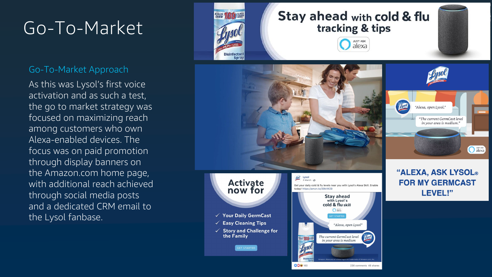### Go-To-Market

### Go-To-Market Approach

As this was Lysol's first voice activation and as such a test, the go to market strategy was focused on maximizing reach among customers who own Alexa-enabled devices. The focus was on paid promotion through display banners on the Amazon.com home page, with additional reach achieved through social media posts and a dedicated CRM email to the Lysol fanbase.



### Stay ahead with cold & flu tracking & tips





#### **Activate** now for

- √ Your Daily GermCast
- $\checkmark$  Easy Cleaning Tips
- $\checkmark$  Story and Challenge for the Family

**GET STARTED** 



Lysol Lysel

 $3$  March  $\cdot$   $\odot$ 

today! https://amzn.to/39ktW29

**ODS** 160





Get your daily cold & flu levels near you with Lysol's Alexa Skill. Enable



### **"ALEXA, ASK LYSOL® FOR MY GERMCAST** LEVEL!"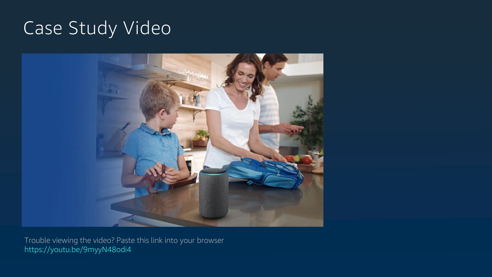## Case Study Video



Trouble viewing the video? Paste this link into your browser https://youtu.be/9myyN48odi4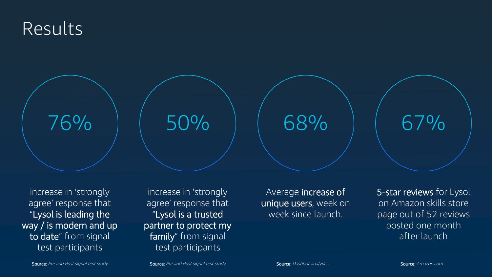increase in 'strongly agree' response that "Lysol is leading the way / is modern and up to date" from signal test participants

### Results



increase in 'strongly agree' response that "Lysol is a trusted partner to protect my family" from signal test participants

Average increase of unique users, week on week since launch.

50% 68% 67%

Source: Pre and Post signal test study **Source:** Pre and Post signal test study Source: Dashbot analytics

5-star reviews for Lysol on Amazon skills store page out of 52 reviews posted one month after launch